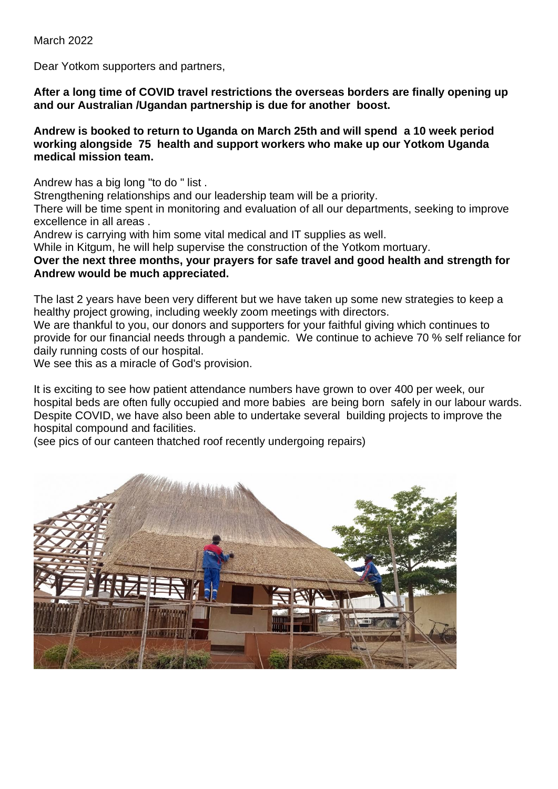March 2022

Dear Yotkom supporters and partners,

**After a long time of COVID travel restrictions the overseas borders are finally opening up and our Australian /Ugandan partnership is due for another boost.**

## **Andrew is booked to return to Uganda on March 25th and will spend a 10 week period working alongside 75 health and support workers who make up our Yotkom Uganda medical mission team.**

Andrew has a big long "to do " list .

Strengthening relationships and our leadership team will be a priority.

There will be time spent in monitoring and evaluation of all our departments, seeking to improve excellence in all areas .

Andrew is carrying with him some vital medical and IT supplies as well.

While in Kitgum, he will help supervise the construction of the Yotkom mortuary.

## **Over the next three months, your prayers for safe travel and good health and strength for Andrew would be much appreciated.**

The last 2 years have been very different but we have taken up some new strategies to keep a healthy project growing, including weekly zoom meetings with directors.

We are thankful to you, our donors and supporters for your faithful giving which continues to provide for our financial needs through a pandemic. We continue to achieve 70 % self reliance for daily running costs of our hospital.

We see this as a miracle of God's provision.

It is exciting to see how patient attendance numbers have grown to over 400 per week, our hospital beds are often fully occupied and more babies are being born safely in our labour wards. Despite COVID, we have also been able to undertake several building projects to improve the hospital compound and facilities.

(see pics of our canteen thatched roof recently undergoing repairs)

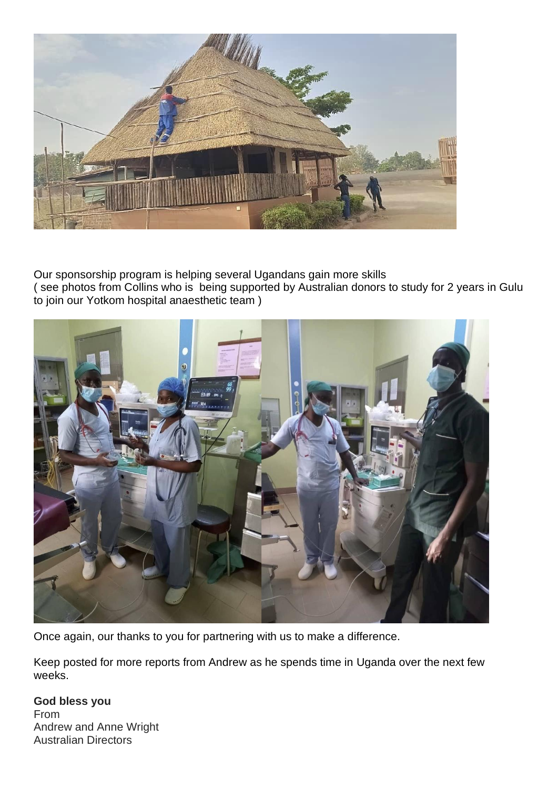

Our sponsorship program is helping several Ugandans gain more skills ( see photos from Collins who is being supported by Australian donors to study for 2 years in Gulu to join our Yotkom hospital anaesthetic team )



Once again, our thanks to you for partnering with us to make a difference.

Keep posted for more reports from Andrew as he spends time in Uganda over the next few weeks.

## **God bless you** From Andrew and Anne Wright Australian Directors